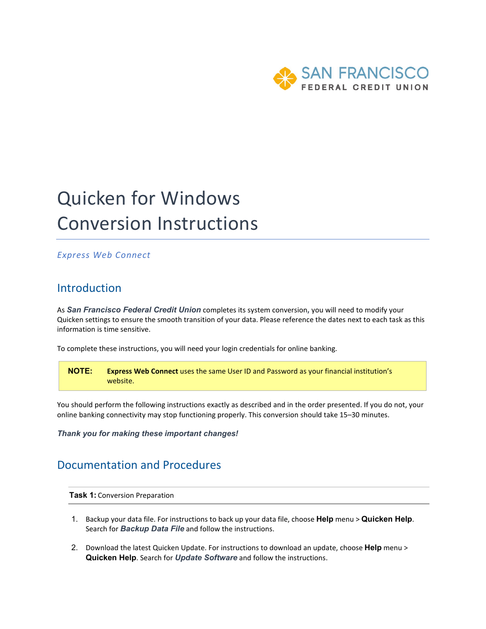

# Quicken for Windows Conversion Instructions

### *Express Web Connect*

## Introduction

As *San Francisco Federal Credit Union* completes its system conversion*,* you will need to modify your Quicken settings to ensure the smooth transition of your data. Please reference the dates next to each task as this information is time sensitive.

To complete these instructions, you will need your login credentials for online banking.

**NOTE: Express Web Connect** uses the same User ID and Password as your financial institution's website.

You should perform the following instructions exactly as described and in the order presented. If you do not, your online banking connectivity may stop functioning properly. This conversion should take 15–30 minutes.

*Thank you for making these important changes!*

## Documentation and Procedures

**Task 1:** Conversion Preparation

- 1. Backup your data file. For instructions to back up your data file, choose **Help** menu > **Quicken Help**. Search for *Backup Data File* and follow the instructions.
- 2. Download the latest Quicken Update. For instructions to download an update, choose **Help** menu > **Quicken Help**. Search for *Update Software* and follow the instructions.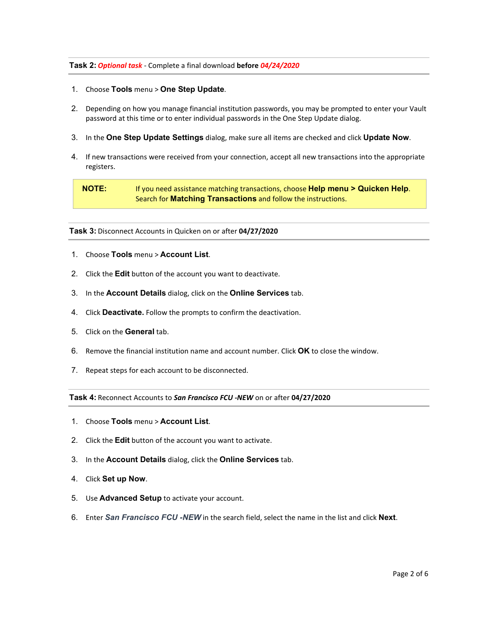#### **Task 2:** *Optional task* - Complete a final download **before** *04/24/2020*

- 1. Choose **Tools** menu > **One Step Update**.
- 2. Depending on how you manage financial institution passwords, you may be prompted to enter your Vault password at this time or to enter individual passwords in the One Step Update dialog.
- 3. In the **One Step Update Settings** dialog, make sure all items are checked and click **Update Now**.
- 4. If new transactions were received from your connection, accept all new transactions into the appropriate registers.

**NOTE:** If you need assistance matching transactions, choose **Help menu > Quicken Help**. Search for **Matching Transactions** and follow the instructions.

**Task 3:** Disconnect Accounts in Quicken on or after **04/27/2020**

- 1. Choose **Tools** menu > **Account List**.
- 2. Click the **Edit** button of the account you want to deactivate.
- 3. In the **Account Details** dialog, click on the **Online Services** tab.
- 4. Click **Deactivate.** Follow the prompts to confirm the deactivation.
- 5. Click on the **General** tab.
- 6. Remove the financial institution name and account number. Click **OK** to close the window.
- 7. Repeat steps for each account to be disconnected.

**Task 4:** Reconnect Accounts to *San Francisco FCU -NEW* on or after **04/27/2020**

- 1. Choose **Tools** menu > **Account List**.
- 2. Click the **Edit** button of the account you want to activate.
- 3. In the **Account Details** dialog, click the **Online Services** tab.
- 4. Click **Set up Now**.
- 5. Use **Advanced Setup** to activate your account.
- 6. Enter *San Francisco FCU -NEW* in the search field, select the name in the list and click **Next**.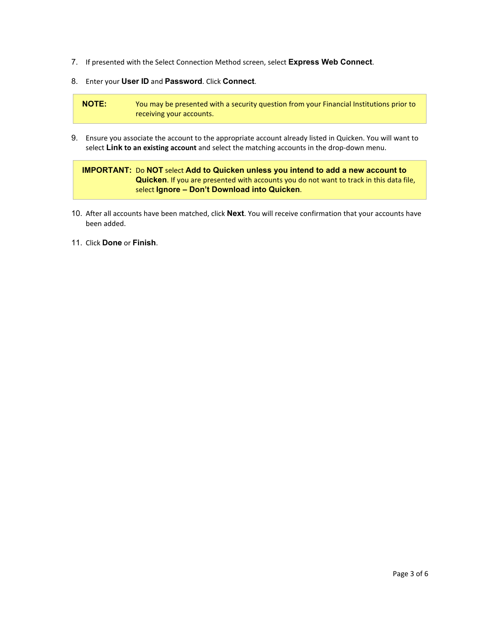- 7. If presented with the Select Connection Method screen, select **Express Web Connect**.
- 8. Enter your **User ID** and **Password**. Click **Connect**.

**NOTE:** You may be presented with a security question from your Financial Institutions prior to receiving your accounts.

9. Ensure you associate the account to the appropriate account already listed in Quicken. You will want to select **Link to an existing account** and select the matching accounts in the drop-down menu.

### **IMPORTANT:** Do **NOT** select **Add to Quicken unless you intend to add a new account to Quicken**. If you are presented with accounts you do not want to track in this data file, select **Ignore – Don't Download into Quicken**.

- 10. After all accounts have been matched, click **Next**. You will receive confirmation that your accounts have been added.
- 11. Click **Done** or **Finish**.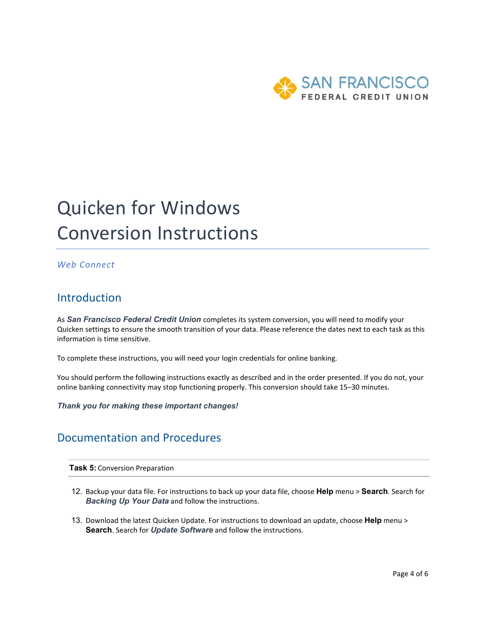

# Quicken for Windows Conversion Instructions

### *Web Connect*

### **Introduction**

As *San Francisco Federal Credit Union* completes its system conversion*,* you will need to modify your Quicken settings to ensure the smooth transition of your data. Please reference the dates next to each task as this information is time sensitive.

To complete these instructions, you will need your login credentials for online banking.

You should perform the following instructions exactly as described and in the order presented. If you do not, your online banking connectivity may stop functioning properly. This conversion should take 15–30 minutes.

*Thank you for making these important changes!*

## Documentation and Procedures

**Task 5:** Conversion Preparation

- 12. Backup your data file. For instructions to back up your data file, choose **Help** menu > **Search**. Search for *Backing Up Your Data* and follow the instructions.
- 13. Download the latest Quicken Update. For instructions to download an update, choose **Help** menu > **Search**. Search for *Update Software* and follow the instructions.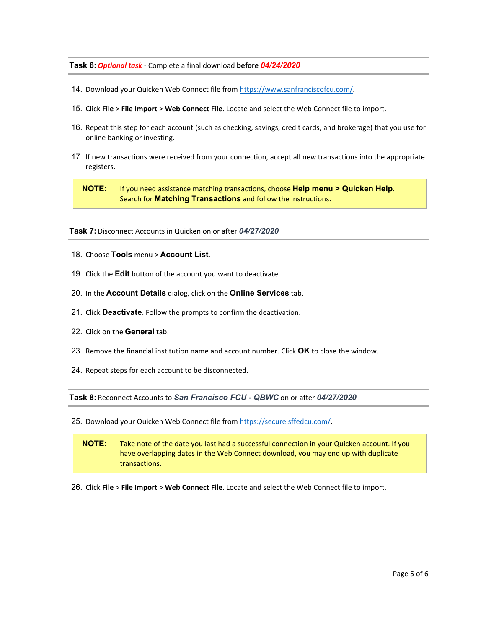#### **Task 6:** *Optional task* - Complete a final download **before** *04/24/2020*

- 14. Download your Quicken Web Connect file from [https://www.sanfranciscofcu.com/.](https://www.sanfranciscofcu.com/)
- 15. Click **File** > **File Import** > **Web Connect File**. Locate and select the Web Connect file to import.
- 16. Repeat this step for each account (such as checking, savings, credit cards, and brokerage) that you use for online banking or investing.
- 17. If new transactions were received from your connection, accept all new transactions into the appropriate registers.

**NOTE:** If you need assistance matching transactions, choose **Help menu > Quicken Help**. Search for **Matching Transactions** and follow the instructions.

**Task 7:** Disconnect Accounts in Quicken on or after *04/27/2020*

- 18. Choose **Tools** menu > **Account List**.
- 19. Click the **Edit** button of the account you want to deactivate.
- 20. In the **Account Details** dialog, click on the **Online Services** tab.
- 21. Click **Deactivate**. Follow the prompts to confirm the deactivation.
- 22. Click on the **General** tab.
- 23. Remove the financial institution name and account number. Click **OK** to close the window.
- 24. Repeat steps for each account to be disconnected.

**Task 8:** Reconnect Accounts to *San Francisco FCU - QBWC* on or after *04/27/2020*

25. Download your Quicken Web Connect file from [https://secure.sffedcu.com/.](https://secure.sffedcu.com/)

**NOTE:** Take note of the date you last had a successful connection in your Quicken account. If you have overlapping dates in the Web Connect download, you may end up with duplicate transactions.

26. Click **File** > **File Import** > **Web Connect File**. Locate and select the Web Connect file to import.